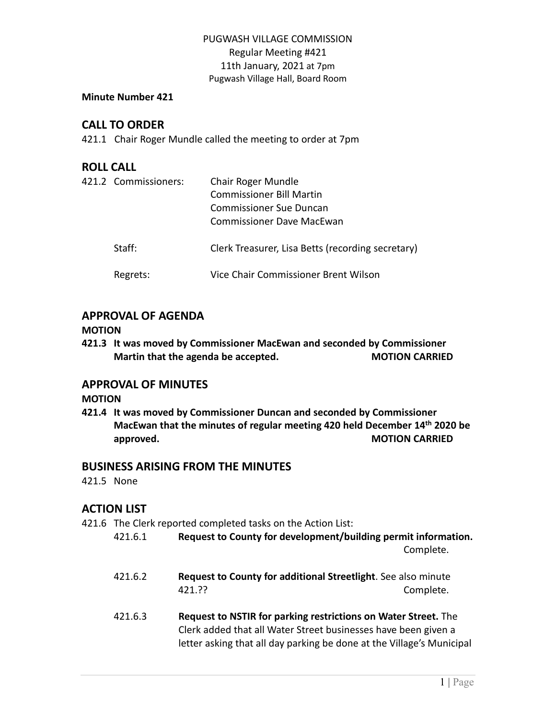#### **Minute Number 421**

# **CALL TO ORDER**

421.1 Chair Roger Mundle called the meeting to order at 7pm

## **ROLL CALL**

| 421.2 Commissioners: | Chair Roger Mundle<br><b>Commissioner Bill Martin</b><br>Commissioner Sue Duncan<br>Commissioner Dave MacEwan |
|----------------------|---------------------------------------------------------------------------------------------------------------|
| Staff:               | Clerk Treasurer, Lisa Betts (recording secretary)                                                             |
| Regrets:             | Vice Chair Commissioner Brent Wilson                                                                          |

# **APPROVAL OF AGENDA**

#### **MOTION**

**421.3 It was moved by Commissioner MacEwan and seconded by Commissioner Martin that the agenda be accepted. MOTION CARRIED**

## **APPROVAL OF MINUTES**

#### **MOTION**

**421.4 It was moved by Commissioner Duncan and seconded by Commissioner MacEwan that the minutes of regular meeting 420 held December 14th 2020 be approved. MOTION CARRIED**

## **BUSINESS ARISING FROM THE MINUTES**

421.5 None

# **ACTION LIST**

421.6 The Clerk reported completed tasks on the Action List:

- 421.6.1 **Request to County for development/building permit information.** Complete.
- 421.6.2 **Request to County for additional Streetlight**. See also minute 421.?? Complete.
- 421.6.3 **Request to NSTIR for parking restrictions on Water Street.** The Clerk added that all Water Street businesses have been given a letter asking that all day parking be done at the Village's Municipal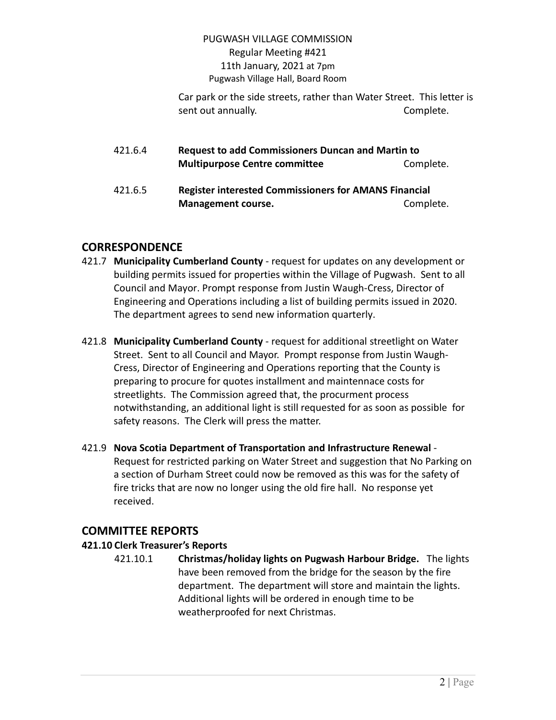Car park or the side streets, rather than Water Street. This letter is sent out annually. The complete of the complete.

| 421.6.4 |                                                              | <b>Request to add Commissioners Duncan and Martin to</b> |  |
|---------|--------------------------------------------------------------|----------------------------------------------------------|--|
|         | <b>Multipurpose Centre committee</b>                         | Complete.                                                |  |
| 421.6.5 | <b>Register interested Commissioners for AMANS Financial</b> |                                                          |  |
|         | <b>Management course.</b>                                    | Complete.                                                |  |

# **CORRESPONDENCE**

- 421.7 **Municipality Cumberland County** request for updates on any development or building permits issued for properties within the Village of Pugwash. Sent to all Council and Mayor. Prompt response from Justin Waugh-Cress, Director of Engineering and Operations including a list of building permits issued in 2020. The department agrees to send new information quarterly.
- 421.8 **Municipality Cumberland County** request for additional streetlight on Water Street. Sent to all Council and Mayor. Prompt response from Justin Waugh-Cress, Director of Engineering and Operations reporting that the County is preparing to procure for quotes installment and maintennace costs for streetlights. The Commission agreed that, the procurment process notwithstanding, an additional light is still requested for as soon as possible for safety reasons. The Clerk will press the matter.
- 421.9 **Nova Scotia Department of Transportation and Infrastructure Renewal** Request for restricted parking on Water Street and suggestion that No Parking on a section of Durham Street could now be removed as this was for the safety of fire tricks that are now no longer using the old fire hall. No response yet received.

# **COMMITTEE REPORTS**

# **421.10 Clerk Treasurer's Reports**

421.10.1 **Christmas/holiday lights on Pugwash Harbour Bridge.** The lights have been removed from the bridge for the season by the fire department. The department will store and maintain the lights. Additional lights will be ordered in enough time to be weatherproofed for next Christmas.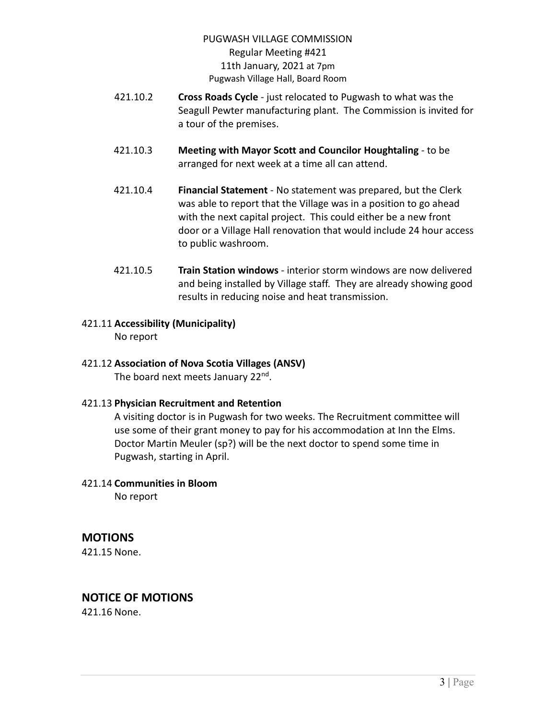- 421.10.2 **Cross Roads Cycle** just relocated to Pugwash to what was the Seagull Pewter manufacturing plant. The Commission is invited for a tour of the premises.
- 421.10.3 **Meeting with Mayor Scott and Councilor Houghtaling** to be arranged for next week at a time all can attend.
- 421.10.4 **Financial Statement** No statement was prepared, but the Clerk was able to report that the Village was in a position to go ahead with the next capital project. This could either be a new front door or a Village Hall renovation that would include 24 hour access to public washroom.
- 421.10.5 **Train Station windows** interior storm windows are now delivered and being installed by Village staff. They are already showing good results in reducing noise and heat transmission.
- 421.11 **Accessibility (Municipality)** No report

# 421.12 **Association of Nova Scotia Villages (ANSV)**

The board next meets January 22<sup>nd</sup>.

421.13 **Physician Recruitment and Retention**

A visiting doctor is in Pugwash for two weeks. The Recruitment committee will use some of their grant money to pay for his accommodation at Inn the Elms. Doctor Martin Meuler (sp?) will be the next doctor to spend some time in Pugwash, starting in April.

## 421.14 **Communities in Bloom**

No report

# **MOTIONS**

421.15 None.

# **NOTICE OF MOTIONS**

421.16 None.